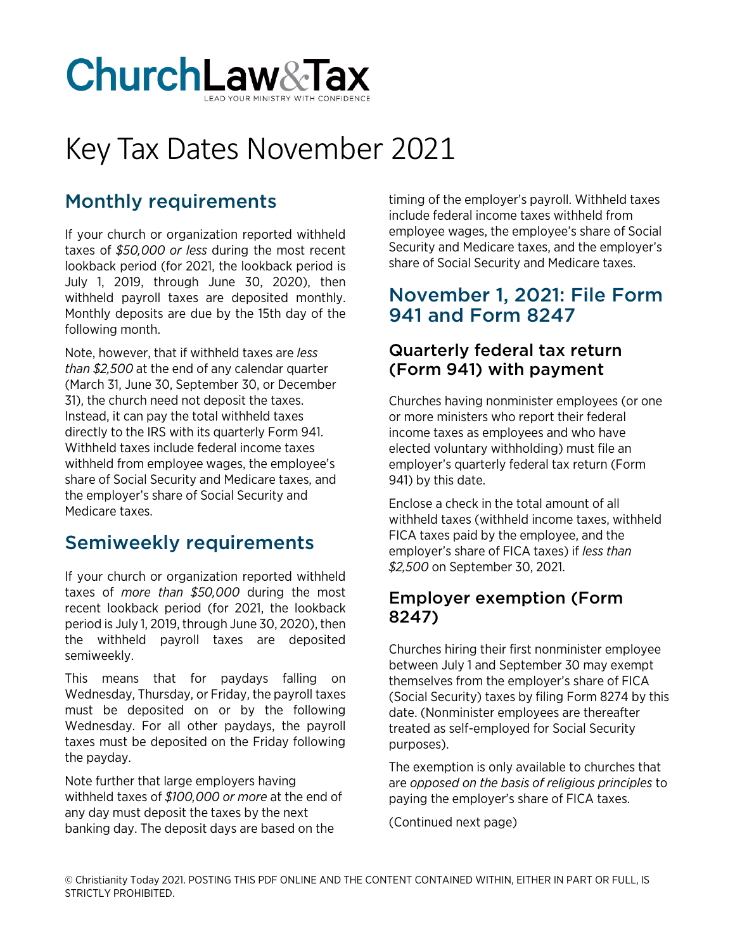

# Key Tax Dates November 2021

# Monthly requirements

If your church or organization reported withheld taxes of *\$50,000 or less* during the most recent lookback period (for 2021, the lookback period is July 1, 2019, through June 30, 2020), then withheld payroll taxes are deposited monthly. Monthly deposits are due by the 15th day of the following month.

Note, however, that if withheld taxes are *less than \$2,500* at the end of any calendar quarter (March 31, June 30, September 30, or December 31), the church need not deposit the taxes. Instead, it can pay the total withheld taxes directly to the IRS with its quarterly Form 941. Withheld taxes include federal income taxes withheld from employee wages, the employee's share of Social Security and Medicare taxes, and the employer's share of Social Security and Medicare taxes.

## Semiweekly requirements

If your church or organization reported withheld taxes of *more than \$50,000* during the most recent lookback period (for 2021, the lookback period is July 1, 2019, through June 30, 2020), then the withheld payroll taxes are deposited semiweekly.

This means that for paydays falling on Wednesday, Thursday, or Friday, the payroll taxes must be deposited on or by the following Wednesday. For all other paydays, the payroll taxes must be deposited on the Friday following the payday.

Note further that large employers having withheld taxes of *\$100,000 or more* at the end of any day must deposit the taxes by the next banking day. The deposit days are based on the

timing of the employer's payroll. Withheld taxes include federal income taxes withheld from employee wages, the employee's share of Social Security and Medicare taxes, and the employer's share of Social Security and Medicare taxes.

#### November 1, 2021: File Form 941 and Form 8247

#### Quarterly federal tax return (Form 941) with payment

Churches having nonminister employees (or one or more ministers who report their federal income taxes as employees and who have elected voluntary withholding) must file an employer's quarterly federal tax return (Form 941) by this date.

Enclose a check in the total amount of all withheld taxes (withheld income taxes, withheld FICA taxes paid by the employee, and the employer's share of FICA taxes) if *less than \$2,500* on September 30, 2021.

#### Employer exemption (Form 8247)

Churches hiring their first nonminister employee between July 1 and September 30 may exempt themselves from the employer's share of FICA (Social Security) taxes by filing Form 8274 by this date. (Nonminister employees are thereafter treated as self-employed for Social Security purposes).

The exemption is only available to churches that are *opposed on the basis of religious principles* to paying the employer's share of FICA taxes.

(Continued next page)